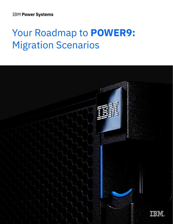**IBM Power Systems** 

# Your Roadmap to **POWER9:** Migration Scenarios

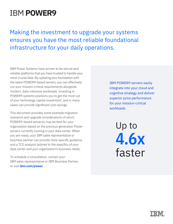## IBM **[POWER9](http://ibm.com/power)**

Making the investment to upgrade your systems ensures you have the most reliable foundational infrastructure for your daily operations.

IBM Power Systems have proven to be secure and reliable platforms that you have trusted to handle your most crucial data. By updating your foundation with the latest POWER9-based servers, you can effectively run your mission-critical requirements alongside modern, data-intensive workloads. Investing in POWER9 systems positions you to get the most out of your technology capital investment, and in many cases can provide significant cost savings.

This document provides some example migration scenarios and upgrade considerations of which POWER9-based server(s) may be best for your organization based on the previous generation Power servers currently running in your data center. When you are ready, your IBM sales representative or business partner can provide more specific guidance and a TCO analysis tailored to the specifics of your data center and your organization's business needs.

To schedule a consultation, contact your IBM sales representative or IBM Business Partner, or visit **[ibm.com/power](http://ibm.com/power)**.

IBM POWER9 servers easily integrate into your cloud and cognitive strategy and deliver superior price performance for your mission-critical workloads

> Up to **4.6x** faster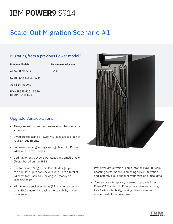## IBM **[POWER9](http://ibm.com/power)** S914

## Scale-Out Migration Scenario #1

#### Migrating from a previous Power model?

| <b>Previous Models</b>                     | <b>Recommended Model</b> |
|--------------------------------------------|--------------------------|
| All S720 models                            | S914                     |
| S740 up to 16c 3.6 GHz                     |                          |
| All S814 models                            |                          |
| POWER5 i5 515, i5 520,<br>p520/+/Q, i5 525 |                          |

#### Upgrade Considerations

- Always revisit current performance numbers for your situation<sup>1</sup>
- If you are replacing a Power 740, take a close look at your IO requirments
- Software licensing savings are significant for Power 740s with up to 16 cores
- Optimal for entry Oracle workloads and small Oracle Cluster based on the S914
- Due to the new Single Chip Module design, you can populate up to two sockets with up to a total of 24 cores for Oracle SE2, saving you money on licensing costs
- With two one socket systems (S914) you can build a small RAC cluster, increasing the scalability of your datacenter



- PowerVM virtualization is built into the POWER9 chip, boosting performance, increasing server utilization, and instantly cloud enabling your mission critical data
- You can use a temporary license to upgrade from PowerVM Standard to Enterprise and migrate using Live Partition Mobility, making migration more efficient with little downtime

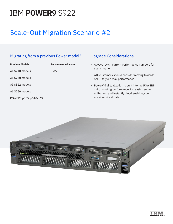# IBM **[POWER9](http://ibm.com/power)** S922

### Scale-Out Migration Scenario #2

#### Migrating from a previous Power model?

| <b>Previous Models</b> | <b>Recommended Model</b> |
|------------------------|--------------------------|
| All S710 models        | S922                     |
| All S730 models        |                          |
| All S822 models        |                          |
| All S750 models        |                          |
| POWER5 p505, p510/+/Q  |                          |

#### Upgrade Considerations

- Always revisit current performance numbers for your situation
- AIX customers should consider moving towards SMT8 to yield max performance
- PowerVM virtualization is built into the POWER9 chip, boosting performance, increasing server utilization, and instantly cloud enabling your mission critical data

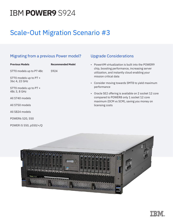# IBM **[POWER9](http://ibm.com/power)** S924

### Scale-Out Migration Scenario #3

#### Migrating from a previous Power model?

| <b>Previous Models</b>                  | <b>Recommended Model</b> |
|-----------------------------------------|--------------------------|
| S770 models up to P7 48c                | S924                     |
| S770 models up to P7 +<br>36c 4, 22 GHz |                          |
| S770 models up to P7 +<br>48c 3, 8 GHz  |                          |
| All S740 models                         |                          |
| All S750 models                         |                          |
| All S824 models                         |                          |
| POWER6 520, 550                         |                          |
| POWER i5 550, p550/+/Q                  |                          |

#### Upgrade Considerations

- PowerVM virtualization is built into the POWER9 chip, boosting performance, increasing server utilization, and instantly cloud enabling your mission critical data
- Consider moving towards SMT8 to yield maximum performance
- Oracle SE2 offering is available on 2 socket 12 core compared to POWER8 only 1 socket 12 core maximum (DCM vs SCM), saving you money on licensing costs